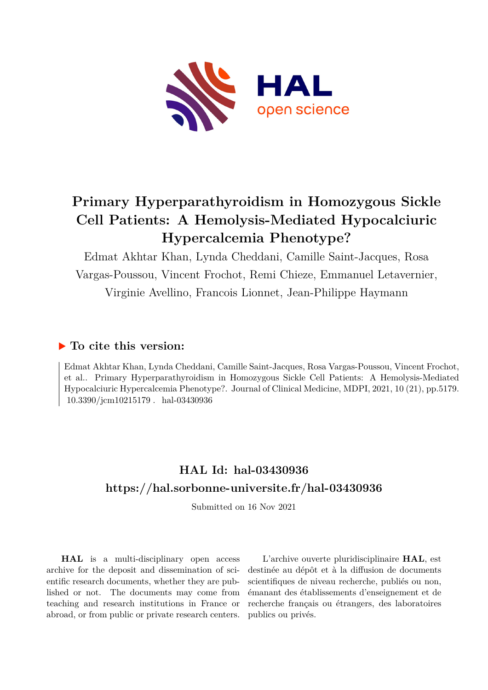

# **Primary Hyperparathyroidism in Homozygous Sickle Cell Patients: A Hemolysis-Mediated Hypocalciuric Hypercalcemia Phenotype?**

Edmat Akhtar Khan, Lynda Cheddani, Camille Saint-Jacques, Rosa Vargas-Poussou, Vincent Frochot, Remi Chieze, Emmanuel Letavernier, Virginie Avellino, Francois Lionnet, Jean-Philippe Haymann

### **To cite this version:**

Edmat Akhtar Khan, Lynda Cheddani, Camille Saint-Jacques, Rosa Vargas-Poussou, Vincent Frochot, et al.. Primary Hyperparathyroidism in Homozygous Sickle Cell Patients: A Hemolysis-Mediated Hypocalciuric Hypercalcemia Phenotype?. Journal of Clinical Medicine, MDPI, 2021, 10 (21), pp.5179. 10.3390/jcm10215179 hal-03430936

## **HAL Id: hal-03430936 <https://hal.sorbonne-universite.fr/hal-03430936>**

Submitted on 16 Nov 2021

**HAL** is a multi-disciplinary open access archive for the deposit and dissemination of scientific research documents, whether they are published or not. The documents may come from teaching and research institutions in France or abroad, or from public or private research centers.

L'archive ouverte pluridisciplinaire **HAL**, est destinée au dépôt et à la diffusion de documents scientifiques de niveau recherche, publiés ou non, émanant des établissements d'enseignement et de recherche français ou étrangers, des laboratoires publics ou privés.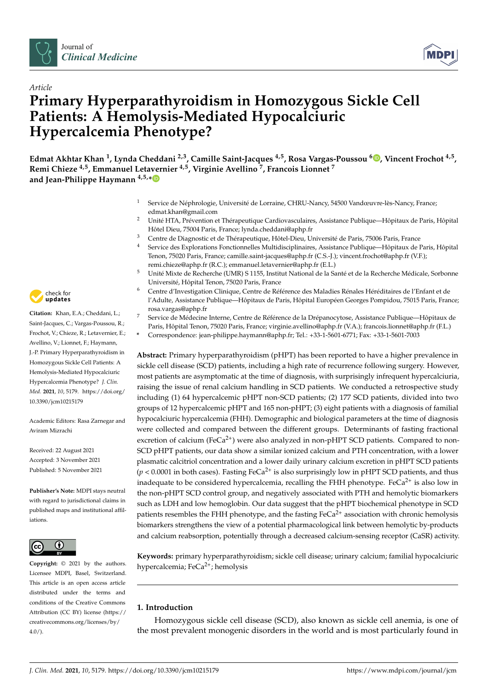



### *Article* **Primary Hyperparathyroidism in Homozygous Sickle Cell Patients: A Hemolysis-Mediated Hypocalciuric Hypercalcemia Phenotype?**

**Edmat Akhtar Khan <sup>1</sup> , Lynda Cheddani 2,3, Camille Saint-Jacques 4,5, Rosa Vargas-Poussou <sup>6</sup> [,](https://orcid.org/0000-0002-4169-0680) Vincent Frochot 4,5 , Remi Chieze 4,5, Emmanuel Letavernier 4,5, Virginie Avellino <sup>7</sup> , Francois Lionnet <sup>7</sup> and Jean-Philippe Haymann 4,5,[\\*](https://orcid.org/0000-0002-2756-2287)**

- <sup>1</sup> Service de Néphrologie, Université de Lorraine, CHRU-Nancy, 54500 Vandœuvre-lès-Nancy, France; edmat.khan@gmail.com
- <sup>2</sup> Unité HTA, Prévention et Thérapeutique Cardiovasculaires, Assistance Publique—Hôpitaux de Paris, Hôpital Hôtel Dieu, 75004 Paris, France; lynda.cheddani@aphp.fr
- <sup>3</sup> Centre de Diagnostic et de Thérapeutique, Hôtel-Dieu, Université de Paris, 75006 Paris, France
- <sup>4</sup> Service des Explorations Fonctionnelles Multidisciplinaires, Assistance Publique—Hôpitaux de Paris, Hôpital Tenon, 75020 Paris, France; camille.saint-jacques@aphp.fr (C.S.-J.); vincent.frochot@aphp.fr (V.F.); remi.chieze@aphp.fr (R.C.); emmanuel.letavernier@aphp.fr (E.L.)
- <sup>5</sup> Unité Mixte de Recherche (UMR) S 1155, Institut National de la Santé et de la Recherche Médicale, Sorbonne Université, Hôpital Tenon, 75020 Paris, France
- <sup>6</sup> Centre d'Investigation Clinique, Centre de Référence des Maladies Rénales Héréditaires de l'Enfant et de l'Adulte, Assistance Publique—Hôpitaux de Paris, Hôpital Européen Georges Pompidou, 75015 Paris, France; rosa.vargas@aphp.fr
- <sup>7</sup> Service de Médecine Interne, Centre de Référence de la Drépanocytose, Assistance Publique—Hôpitaux de Paris, Hôpital Tenon, 75020 Paris, France; virginie.avellino@aphp.fr (V.A.); francois.lionnet@aphp.fr (F.L.)
- **\*** Correspondence: jean-philippe.haymann@aphp.fr; Tel.: +33-1-5601-6771; Fax: +33-1-5601-7003

**Abstract:** Primary hyperparathyroidism (pHPT) has been reported to have a higher prevalence in sickle cell disease (SCD) patients, including a high rate of recurrence following surgery. However, most patients are asymptomatic at the time of diagnosis, with surprisingly infrequent hypercalciuria, raising the issue of renal calcium handling in SCD patients. We conducted a retrospective study including (1) 64 hypercalcemic pHPT non-SCD patients; (2) 177 SCD patients, divided into two groups of 12 hypercalcemic pHPT and 165 non-pHPT; (3) eight patients with a diagnosis of familial hypocalciuric hypercalcemia (FHH). Demographic and biological parameters at the time of diagnosis were collected and compared between the different groups. Determinants of fasting fractional excretion of calcium ( $FeCa<sup>2+</sup>$ ) were also analyzed in non-pHPT SCD patients. Compared to non-SCD pHPT patients, our data show a similar ionized calcium and PTH concentration, with a lower plasmatic calcitriol concentration and a lower daily urinary calcium excretion in pHPT SCD patients  $(p < 0.0001$  in both cases). Fasting FeCa<sup>2+</sup> is also surprisingly low in pHPT SCD patients, and thus inadequate to be considered hypercalcemia, recalling the FHH phenotype. Fe $Ca^{2+}$  is also low in the non-pHPT SCD control group, and negatively associated with PTH and hemolytic biomarkers such as LDH and low hemoglobin. Our data suggest that the pHPT biochemical phenotype in SCD patients resembles the FHH phenotype, and the fasting  $FeCa<sup>2+</sup>$  association with chronic hemolysis biomarkers strengthens the view of a potential pharmacological link between hemolytic by-products and calcium reabsorption, potentially through a decreased calcium-sensing receptor (CaSR) activity.

**Keywords:** primary hyperparathyroidism; sickle cell disease; urinary calcium; familial hypocalciuric hypercalcemia;  $FeCa<sup>2+</sup>$ ; hemolysis

#### **1. Introduction**

Homozygous sickle cell disease (SCD), also known as sickle cell anemia, is one of the most prevalent monogenic disorders in the world and is most particularly found in



**Citation:** Khan, E.A.; Cheddani, L.; Saint-Jacques, C.; Vargas-Poussou, R.; Frochot, V.; Chieze, R.; Letavernier, E.; Avellino, V.; Lionnet, F.; Haymann, J.-P. Primary Hyperparathyroidism in Homozygous Sickle Cell Patients: A Hemolysis-Mediated Hypocalciuric Hypercalcemia Phenotype? *J. Clin. Med.* **2021**, *10*, 5179. [https://doi.org/](https://doi.org/10.3390/jcm10215179) [10.3390/jcm10215179](https://doi.org/10.3390/jcm10215179)

Academic Editors: Rasa Zarnegar and Aviram Mizrachi

Received: 22 August 2021 Accepted: 3 November 2021 Published: 5 November 2021

**Publisher's Note:** MDPI stays neutral with regard to jurisdictional claims in published maps and institutional affiliations.



**Copyright:** © 2021 by the authors. Licensee MDPI, Basel, Switzerland. This article is an open access article distributed under the terms and conditions of the Creative Commons Attribution (CC BY) license (https:/[/](https://creativecommons.org/licenses/by/4.0/) [creativecommons.org/licenses/by/](https://creativecommons.org/licenses/by/4.0/)  $4.0/$ ).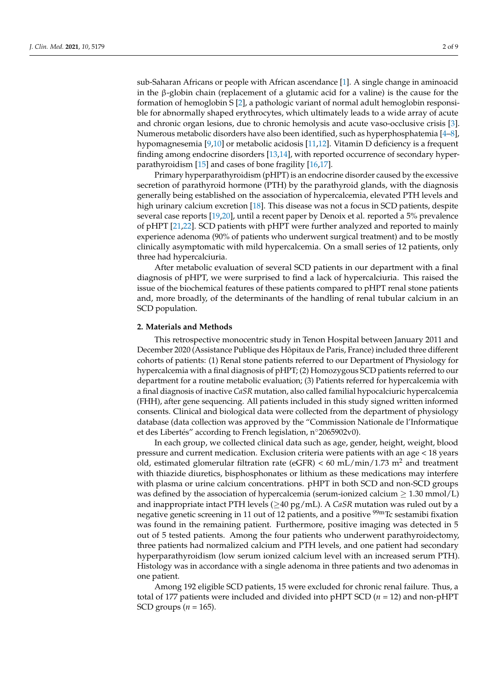sub-Saharan Africans or people with African ascendance [1]. A single change in aminoacid in the β-globin chain (replacement of a glutamic acid for a valine) is the cause for the formation of hemoglobin S [2], a pathologic variant of normal adult hemoglobin responsible for abnormally shaped erythrocytes, which ultimately leads to a wide array of acute and chronic organ lesions, due to chronic hemolysis and acute vaso-occlusive crisis [3]. Numerous metabolic disorders have also been identified, such as hyperphosphatemia [4–8], hypomagnesemia [9,10] or metabolic acidosis [11,12]. Vitamin D deficiency is a frequent finding among endocrine disorders [13,14], with reported occurrence of secondary hyperparathyroidism [15] and cases of bone fragility [16,17].

Primary hyperparathyroidism (pHPT) is an endocrine disorder caused by the excessive secretion of parathyroid hormone (PTH) by the parathyroid glands, with the diagnosis generally being established on the association of hypercalcemia, elevated PTH levels and high urinary calcium excretion [18]. This disease was not a focus in SCD patients, despite several case reports [19,20], until a recent paper by Denoix et al. reported a 5% prevalence of pHPT [21,22]. SCD patients with pHPT were further analyzed and reported to mainly experience adenoma (90% of patients who underwent surgical treatment) and to be mostly clinically asymptomatic with mild hypercalcemia. On a small series of 12 patients, only three had hypercalciuria.

After metabolic evaluation of several SCD patients in our department with a final diagnosis of pHPT, we were surprised to find a lack of hypercalciuria. This raised the issue of the biochemical features of these patients compared to pHPT renal stone patients and, more broadly, of the determinants of the handling of renal tubular calcium in an SCD population.

#### **2. Materials and Methods**

This retrospective monocentric study in Tenon Hospital between January 2011 and December 2020 (Assistance Publique des Hôpitaux de Paris, France) included three different cohorts of patients: (1) Renal stone patients referred to our Department of Physiology for hypercalcemia with a final diagnosis of pHPT; (2) Homozygous SCD patients referred to our department for a routine metabolic evaluation; (3) Patients referred for hypercalcemia with a final diagnosis of inactive *CaSR* mutation, also called familial hypocalciuric hypercalcemia (FHH), after gene sequencing. All patients included in this study signed written informed consents. Clinical and biological data were collected from the department of physiology database (data collection was approved by the "Commission Nationale de l'Informatique et des Libertés" according to French legislation, n◦2065902v0).

In each group, we collected clinical data such as age, gender, height, weight, blood pressure and current medication. Exclusion criteria were patients with an age < 18 years old, estimated glomerular filtration rate (eGFR) <  $60$  mL/min/1.73 m<sup>2</sup> and treatment with thiazide diuretics, bisphosphonates or lithium as these medications may interfere with plasma or urine calcium concentrations. pHPT in both SCD and non-SCD groups was defined by the association of hypercalcemia (serum-ionized calcium  $\geq 1.30$  mmol/L) and inappropriate intact PTH levels (≥40 pg/mL). A *CaSR* mutation was ruled out by a negative genetic screening in 11 out of 12 patients, and a positive <sup>99m</sup>Tc sestamibi fixation was found in the remaining patient. Furthermore, positive imaging was detected in 5 out of 5 tested patients. Among the four patients who underwent parathyroidectomy, three patients had normalized calcium and PTH levels, and one patient had secondary hyperparathyroidism (low serum ionized calcium level with an increased serum PTH). Histology was in accordance with a single adenoma in three patients and two adenomas in one patient.

Among 192 eligible SCD patients, 15 were excluded for chronic renal failure. Thus, a total of 177 patients were included and divided into pHPT SCD (*n* = 12) and non-pHPT SCD groups  $(n = 165)$ .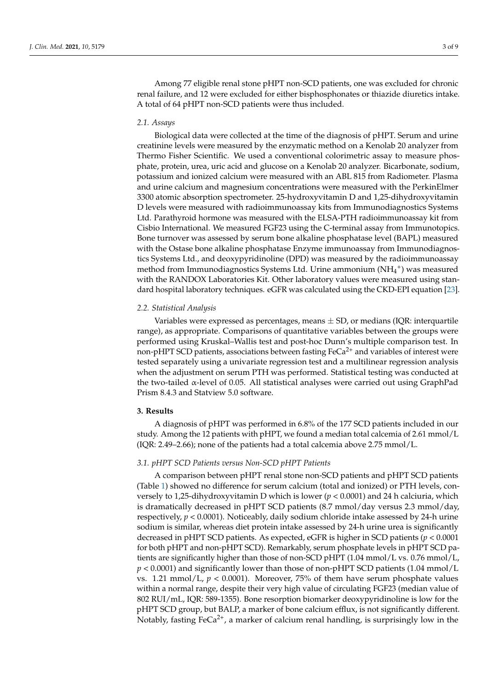Among 77 eligible renal stone pHPT non-SCD patients, one was excluded for chronic renal failure, and 12 were excluded for either bisphosphonates or thiazide diuretics intake. A total of 64 pHPT non-SCD patients were thus included.

#### *2.1. Assays*

Biological data were collected at the time of the diagnosis of pHPT. Serum and urine creatinine levels were measured by the enzymatic method on a Kenolab 20 analyzer from Thermo Fisher Scientific. We used a conventional colorimetric assay to measure phosphate, protein, urea, uric acid and glucose on a Kenolab 20 analyzer. Bicarbonate, sodium, potassium and ionized calcium were measured with an ABL 815 from Radiometer. Plasma and urine calcium and magnesium concentrations were measured with the PerkinElmer 3300 atomic absorption spectrometer. 25-hydroxyvitamin D and 1,25-dihydroxyvitamin D levels were measured with radioimmunoassay kits from Immunodiagnostics Systems Ltd. Parathyroid hormone was measured with the ELSA-PTH radioimmunoassay kit from Cisbio International. We measured FGF23 using the C-terminal assay from Immunotopics. Bone turnover was assessed by serum bone alkaline phosphatase level (BAPL) measured with the Ostase bone alkaline phosphatase Enzyme immunoassay from Immunodiagnostics Systems Ltd., and deoxypyridinoline (DPD) was measured by the radioimmunoassay method from Immunodiagnostics Systems Ltd. Urine ammonium  $(NH_4^+)$  was measured with the RANDOX Laboratories Kit. Other laboratory values were measured using standard hospital laboratory techniques. eGFR was calculated using the CKD-EPI equation [23].

#### *2.2. Statistical Analysis*

Variables were expressed as percentages, means  $\pm$  SD, or medians (IQR: interquartile range), as appropriate. Comparisons of quantitative variables between the groups were performed using Kruskal–Wallis test and post-hoc Dunn's multiple comparison test. In non-pHPT SCD patients, associations between fasting  $Feca<sup>2+</sup>$  and variables of interest were tested separately using a univariate regression test and a multilinear regression analysis when the adjustment on serum PTH was performed. Statistical testing was conducted at the two-tailed α-level of 0.05. All statistical analyses were carried out using GraphPad Prism 8.4.3 and Statview 5.0 software.

#### **3. Results**

A diagnosis of pHPT was performed in 6.8% of the 177 SCD patients included in our study. Among the 12 patients with pHPT, we found a median total calcemia of 2.61 mmol/L (IQR: 2.49–2.66); none of the patients had a total calcemia above 2.75 mmol/L.

#### *3.1. pHPT SCD Patients versus Non-SCD pHPT Patients*

A comparison between pHPT renal stone non-SCD patients and pHPT SCD patients (Table 1) showed no difference for serum calcium (total and ionized) or PTH levels, conversely to 1,25-dihydroxyvitamin D which is lower (*p* < 0.0001) and 24 h calciuria, which is dramatically decreased in pHPT SCD patients (8.7 mmol/day versus 2.3 mmol/day, respectively,  $p < 0.0001$ ). Noticeably, daily sodium chloride intake assessed by 24-h urine sodium is similar, whereas diet protein intake assessed by 24-h urine urea is significantly decreased in pHPT SCD patients. As expected, eGFR is higher in SCD patients (*p* < 0.0001 for both pHPT and non-pHPT SCD). Remarkably, serum phosphate levels in pHPT SCD patients are significantly higher than those of non-SCD pHPT (1.04 mmol/L vs. 0.76 mmol/L, *p* < 0.0001) and significantly lower than those of non-pHPT SCD patients (1.04 mmol/L vs. 1.21 mmol/L,  $p < 0.0001$ ). Moreover, 75% of them have serum phosphate values within a normal range, despite their very high value of circulating FGF23 (median value of 802 RUI/mL, IQR: 589-1355). Bone resorption biomarker deoxypyridinoline is low for the pHPT SCD group, but BALP, a marker of bone calcium efflux, is not significantly different. Notably, fasting FeCa<sup>2+</sup>, a marker of calcium renal handling, is surprisingly low in the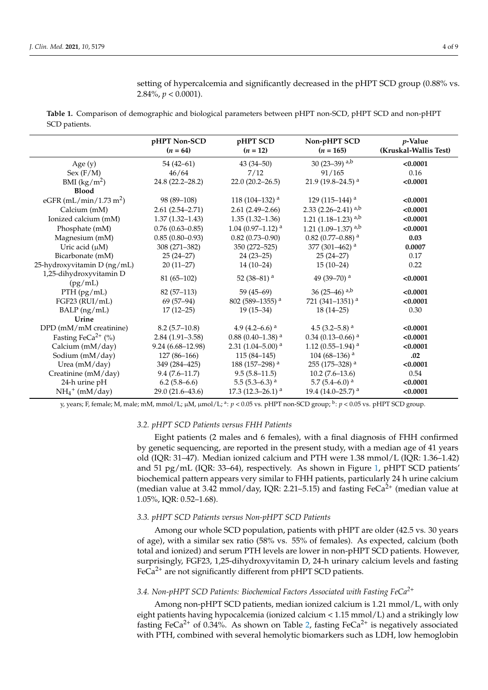setting of hypercalcemia and significantly decreased in the pHPT SCD group (0.88% vs. 2.84%, *p* < 0.0001).

**Table 1.** Comparison of demographic and biological parameters between pHPT non-SCD, pHPT SCD and non-pHPT SCD patients.

|                                    | pHPT Non-SCD         | pHPT SCD                        | Non-pHPT SCD                      | $p$ -Value            |  |
|------------------------------------|----------------------|---------------------------------|-----------------------------------|-----------------------|--|
|                                    | $(n = 64)$           | $(n = 12)$                      | $(n = 165)$                       | (Kruskal-Wallis Test) |  |
| Age $(y)$                          | $54(42-61)$          | $43(34 - 50)$                   | 30 (23-39) $a,b$                  | < 0.0001              |  |
| Sex (F/M)                          | 46/64                | 7/12                            | 91/165                            | 0.16                  |  |
| BMI $(kg/m^2)$                     | 24.8 (22.2-28.2)     | $22.0(20.2 - 26.5)$             | 21.9 (19.8-24.5) <sup>a</sup>     | < 0.0001              |  |
| <b>Blood</b>                       |                      |                                 |                                   |                       |  |
| eGFR (mL/min/1.73 m <sup>2</sup> ) | 98 (89-108)          | 118 (104–132) <sup>a</sup>      | 129 (115–144) <sup>a</sup>        | < 0.0001              |  |
| Calcium (mM)                       | $2.61(2.54 - 2.71)$  | $2.61(2.49-2.66)$               | 2.33 $(2.26-2.41)$ <sup>a,b</sup> | < 0.0001              |  |
| Ionized calcium (mM)               | $1.37(1.32 - 1.43)$  | $1.35(1.32 - 1.36)$             | 1.21 $(1.18-1.23)$ <sup>a,b</sup> | < 0.0001              |  |
| Phosphate (mM)                     | $0.76(0.63 - 0.85)$  | 1.04 (0.97-1.12) <sup>a</sup>   | 1.21 $(1.09-1.37)$ <sup>a,b</sup> | < 0.0001              |  |
| Magnesium (mM)                     | $0.85(0.80-0.93)$    | $0.82(0.73 - 0.90)$             | 0.82 (0.77-0.88) $^{\rm a}$       | 0.03                  |  |
| Uric acid $(\mu M)$                | 308 (271-382)        | 350 (272-525)                   | 377 (301–462) <sup>a</sup>        | 0.0007                |  |
| Bicarbonate (mM)                   | $25(24-27)$          | $24(23-25)$                     | $25(24-27)$                       | 0.17                  |  |
| 25-hydroxyvitamin D (ng/mL)        | $20(11-27)$          | $14(10-24)$                     | $15(10-24)$                       | 0.22                  |  |
| 1,25-dihydroxyvitamin D            | $81(65-102)$         | 52 (38-81) $^{\rm a}$           | 49 (39-70) <sup>a</sup>           | < 0.0001              |  |
| (pg/mL)                            |                      |                                 |                                   |                       |  |
| $PTH$ (pg/mL)                      | $82(57-113)$         | $59(45-69)$                     | 36 (25–46) $a,b$                  | < 0.0001              |  |
| FGF23 (RUI/mL)                     | $69(57-94)$          | 802 (589-1355) <sup>a</sup>     | 721 (341-1351) <sup>a</sup>       | < 0.0001              |  |
| BALP (ng/mL)                       | $17(12-25)$          | $19(15-34)$                     | $18(14-25)$                       | 0.30                  |  |
| Urine                              |                      |                                 |                                   |                       |  |
| DPD (mM/mM creatinine)             | $8.2(5.7-10.8)$      | 4.9 (4.2–6.6) <sup>a</sup>      | 4.5 (3.2–5.8) $^{\rm a}$          | < 0.0001              |  |
| Fasting FeCa <sup>2+</sup> $(\%)$  | $2.84(1.91 - 3.58)$  | $0.88$ (0.40–1.38) <sup>a</sup> | $0.34$ (0.13-0.66) <sup>a</sup>   | < 0.0001              |  |
| Calcium (mM/day)                   | $9.24(6.68 - 12.98)$ | $2.31$ (1.04-5.00) <sup>a</sup> | 1.12 (0.55-1.94) <sup>a</sup>     | < 0.0001              |  |
| Sodium (mM/day)                    | $127(86-166)$        | $115(84-145)$                   | 104 (68–136) <sup>a</sup>         | .02                   |  |
| Urea (mM/day)                      | 349 (284-425)        | 188 (157–298) <sup>a</sup>      | 255 (175-328) <sup>a</sup>        | < 0.0001              |  |
| Creatinine (mM/day)                | $9.4(7.6 - 11.7)$    | $9.5(5.8-11.5)$                 | $10.2(7.6-13.6)$                  | 0.54                  |  |
| 24-h urine pH                      | $6.2(5.8-6.6)$       | 5.5 $(5.3-6.3)$ <sup>a</sup>    | 5.7 $(5.4-6.0)$ <sup>a</sup>      | < 0.0001              |  |
| $NH_4^+$ (mM/day)                  | 29.0 (21.6-43.6)     | 17.3 (12.3–26.1) $^{\rm a}$     | 19.4 (14.0-25.7) $^{\rm a}$       | < 0.0001              |  |

y, years; F, female; M, male; mM, mmol/L; µM, µmol/L; <sup>a</sup>:  $p < 0.05$  vs. pHPT non-SCD group; <sup>b</sup>:  $p < 0.05$  vs. pHPT SCD group.

#### *3.2. pHPT SCD Patients versus FHH Patients*

Eight patients (2 males and 6 females), with a final diagnosis of FHH confirmed by genetic sequencing, are reported in the present study, with a median age of 41 years old (IQR: 31–47). Median ionized calcium and PTH were 1.38 mmol/L (IQR: 1.36–1.42) and 51 pg/mL (IQR: 33–64), respectively. As shown in Figure 1, pHPT SCD patients' biochemical pattern appears very similar to FHH patients, particularly 24 h urine calcium (median value at 3.42 mmol/day, IQR: 2.21–5.15) and fasting  $FeCa<sup>2+</sup>$  (median value at 1.05%, IQR: 0.52–1.68).

#### *3.3. pHPT SCD Patients versus Non-pHPT SCD Patients*

Among our whole SCD population, patients with pHPT are older (42.5 vs. 30 years of age), with a similar sex ratio (58% vs. 55% of females). As expected, calcium (both total and ionized) and serum PTH levels are lower in non-pHPT SCD patients. However, surprisingly, FGF23, 1,25-dihydroxyvitamin D, 24-h urinary calcium levels and fasting  $FeCa<sup>2+</sup>$  are not significantly different from pHPT SCD patients.

#### *3.4. Non-pHPT SCD Patients: Biochemical Factors Associated with Fasting FeCa2+*

Among non-pHPT SCD patients, median ionized calcium is 1.21 mmol/L, with only eight patients having hypocalcemia (ionized calcium  $< 1.15$  mmol/L) and a strikingly low fasting FeCa<sup>2+</sup> of 0.34%. As shown on Table 2, fasting FeCa<sup>2+</sup> is negatively associated with PTH, combined with several hemolytic biomarkers such as LDH, low hemoglobin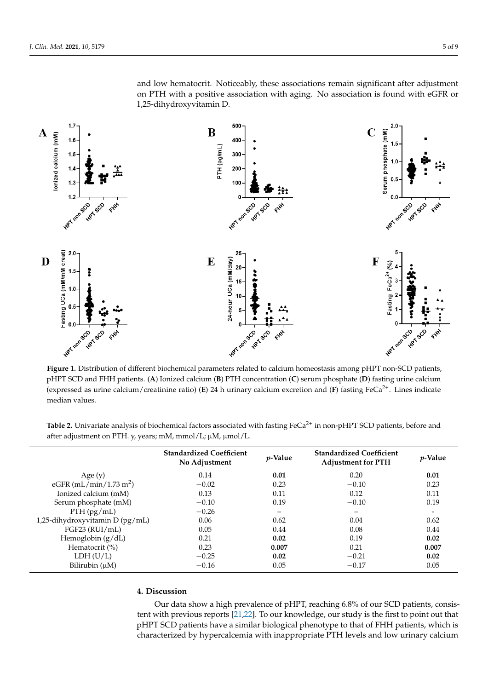

Figure 1. Distribution of different biochemical parameters related to calcium homeostasis among pHPT non-SCD patients, pHPT SCD and FHH patients. (A) Ionized calcium (B) PTH concentration (C) serum phosphate (D) fasting urine calcium (expressed as urine calcium/creatinine ratio) (E) 24 h urinary calcium excretion and (F) fasting FeCa<sup>2+</sup>. Lines indicate median values.

*3.3. pHPT SCD Patients versus Non-pHPT SCD Patients*   $M_{\text{mmol}}/(I \cdot u)$  and phpPT are older (42.5 vs. 30 years). **Table 2.** Univariate analysis of biochemical factors associated with fasting FeCa<sup>2+</sup> in non-pHPT SCD patients, before and after adjustment on PTH. y, years; mM, mmol/L; µM, µmol/L.

|                                    | <b>Standardized Coefficient</b><br>No Adjustment | $p$ -Value | <b>Standardized Coefficient</b><br><b>Adjustment for PTH</b> | <i>p</i> -Value |
|------------------------------------|--------------------------------------------------|------------|--------------------------------------------------------------|-----------------|
| Age $(y)$                          | 0.14                                             | 0.01       | 0.20                                                         | 0.01            |
| eGFR (mL/min/1.73 m <sup>2</sup> ) | $-0.02$                                          | 0.23       | $-0.10$                                                      | 0.23            |
| Ionized calcium (mM)               | 0.13                                             | 0.11       | 0.12                                                         | 0.11            |
| Serum phosphate (mM)               | $-0.10$                                          | 0.19       | $-0.10$                                                      | 0.19            |
| $PTH$ (pg/mL)                      | $-0.26$                                          |            |                                                              |                 |
| 1,25-dihydroxyvitamin D (pg/mL)    | 0.06                                             | 0.62       | 0.04                                                         | 0.62            |
| FGF23 (RUI/mL)                     | 0.05                                             | 0.44       | 0.08                                                         | 0.44            |
| Hemoglobin $(g/dL)$                | 0.21                                             | 0.02       | 0.19                                                         | 0.02            |
| Hematocrit $(\% )$                 | 0.23                                             | 0.007      | 0.21                                                         | 0.007           |
| LDH (U/L)                          | $-0.25$                                          | 0.02       | $-0.21$                                                      | 0.02            |
| Bilirubin $(\mu M)$                | $-0.16$                                          | 0.05       | $-0.17$                                                      | 0.05            |

#### **Table 2. University of analysis of analysis of biochemical factors as social factors as social factors and**  $\mathbf{z}$

Our data show a high prevalence of pHPT, reaching 6.8% of our SCD patients, consistent with previous reports [21,22]. To our knowledge, our study is the first to point out that tent with previous reports [21,22]. To our knowledge, our study is the first to point out that<br>pHPT SCD patients have a similar biological phenotype to that of FHH patients, which is characterized by hypercalcemia with inappropriate PTH levels and low urinary calcium

and low hematocrit. Noticeably, these associations remain significant after adjustment on PTH with a positive association with aging. No association is found with eGFR or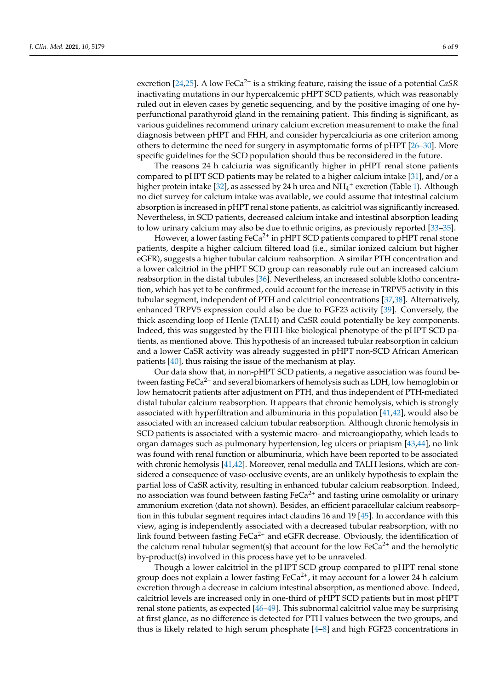excretion [24,25]. A low FeCa<sup>2+</sup> is a striking feature, raising the issue of a potential *CaSR* inactivating mutations in our hypercalcemic pHPT SCD patients, which was reasonably ruled out in eleven cases by genetic sequencing, and by the positive imaging of one hyperfunctional parathyroid gland in the remaining patient. This finding is significant, as various guidelines recommend urinary calcium excretion measurement to make the final diagnosis between pHPT and FHH, and consider hypercalciuria as one criterion among others to determine the need for surgery in asymptomatic forms of pHPT [26–30]. More specific guidelines for the SCD population should thus be reconsidered in the future.

The reasons 24 h calciuria was significantly higher in pHPT renal stone patients compared to pHPT SCD patients may be related to a higher calcium intake [31], and/or a higher protein intake [32], as assessed by 24 h urea and  $NH_4^+$  excretion (Table 1). Although no diet survey for calcium intake was available, we could assume that intestinal calcium absorption is increased in pHPT renal stone patients, as calcitriol was significantly increased. Nevertheless, in SCD patients, decreased calcium intake and intestinal absorption leading to low urinary calcium may also be due to ethnic origins, as previously reported [33–35].

However, a lower fasting  $FeCa<sup>2+</sup>$  in pHPT SCD patients compared to pHPT renal stone patients, despite a higher calcium filtered load (i.e., similar ionized calcium but higher eGFR), suggests a higher tubular calcium reabsorption. A similar PTH concentration and a lower calcitriol in the pHPT SCD group can reasonably rule out an increased calcium reabsorption in the distal tubules [36]. Nevertheless, an increased soluble klotho concentration, which has yet to be confirmed, could account for the increase in TRPV5 activity in this tubular segment, independent of PTH and calcitriol concentrations [37,38]. Alternatively, enhanced TRPV5 expression could also be due to FGF23 activity [39]. Conversely, the thick ascending loop of Henle (TALH) and CaSR could potentially be key components. Indeed, this was suggested by the FHH-like biological phenotype of the pHPT SCD patients, as mentioned above. This hypothesis of an increased tubular reabsorption in calcium and a lower CaSR activity was already suggested in pHPT non-SCD African American patients [40], thus raising the issue of the mechanism at play.

Our data show that, in non-pHPT SCD patients, a negative association was found between fasting FeCa<sup>2+</sup> and several biomarkers of hemolysis such as LDH, low hemoglobin or low hematocrit patients after adjustment on PTH, and thus independent of PTH-mediated distal tubular calcium reabsorption. It appears that chronic hemolysis, which is strongly associated with hyperfiltration and albuminuria in this population [41,42], would also be associated with an increased calcium tubular reabsorption. Although chronic hemolysis in SCD patients is associated with a systemic macro- and microangiopathy, which leads to organ damages such as pulmonary hypertension, leg ulcers or priapism [43,44], no link was found with renal function or albuminuria, which have been reported to be associated with chronic hemolysis [41,42]. Moreover, renal medulla and TALH lesions, which are considered a consequence of vaso-occlusive events, are an unlikely hypothesis to explain the partial loss of CaSR activity, resulting in enhanced tubular calcium reabsorption. Indeed, no association was found between fasting  $FeCa<sup>2+</sup>$  and fasting urine osmolality or urinary ammonium excretion (data not shown). Besides, an efficient paracellular calcium reabsorption in this tubular segment requires intact claudins 16 and 19 [45]. In accordance with this view, aging is independently associated with a decreased tubular reabsorption, with no link found between fasting  $FeCa^{2+}$  and eGFR decrease. Obviously, the identification of the calcium renal tubular segment(s) that account for the low  $FeCa<sup>2+</sup>$  and the hemolytic by-product(s) involved in this process have yet to be unraveled.

Though a lower calcitriol in the pHPT SCD group compared to pHPT renal stone group does not explain a lower fasting  $FeCa<sup>2+</sup>$ , it may account for a lower 24 h calcium excretion through a decrease in calcium intestinal absorption, as mentioned above. Indeed, calcitriol levels are increased only in one-third of pHPT SCD patients but in most pHPT renal stone patients, as expected [46–49]. This subnormal calcitriol value may be surprising at first glance, as no difference is detected for PTH values between the two groups, and thus is likely related to high serum phosphate [4–8] and high FGF23 concentrations in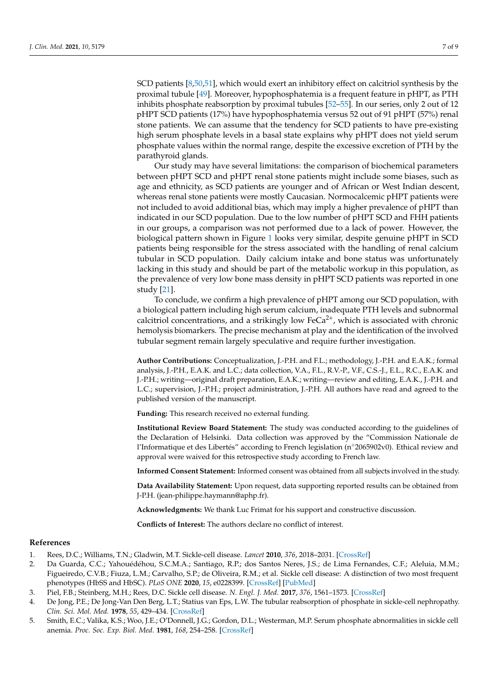SCD patients [8,50,51], which would exert an inhibitory effect on calcitriol synthesis by the proximal tubule [49]. Moreover, hypophosphatemia is a frequent feature in pHPT, as PTH inhibits phosphate reabsorption by proximal tubules [52–55]. In our series, only 2 out of 12 pHPT SCD patients (17%) have hypophosphatemia versus 52 out of 91 pHPT (57%) renal stone patients. We can assume that the tendency for SCD patients to have pre-existing high serum phosphate levels in a basal state explains why pHPT does not yield serum phosphate values within the normal range, despite the excessive excretion of PTH by the parathyroid glands.

Our study may have several limitations: the comparison of biochemical parameters between pHPT SCD and pHPT renal stone patients might include some biases, such as age and ethnicity, as SCD patients are younger and of African or West Indian descent, whereas renal stone patients were mostly Caucasian. Normocalcemic pHPT patients were not included to avoid additional bias, which may imply a higher prevalence of pHPT than indicated in our SCD population. Due to the low number of pHPT SCD and FHH patients in our groups, a comparison was not performed due to a lack of power. However, the biological pattern shown in Figure 1 looks very similar, despite genuine pHPT in SCD patients being responsible for the stress associated with the handling of renal calcium tubular in SCD population. Daily calcium intake and bone status was unfortunately lacking in this study and should be part of the metabolic workup in this population, as the prevalence of very low bone mass density in pHPT SCD patients was reported in one study [21].

To conclude, we confirm a high prevalence of pHPT among our SCD population, with a biological pattern including high serum calcium, inadequate PTH levels and subnormal calcitriol concentrations, and a strikingly low  $FeCa<sup>2+</sup>$ , which is associated with chronic hemolysis biomarkers. The precise mechanism at play and the identification of the involved tubular segment remain largely speculative and require further investigation.

**Author Contributions:** Conceptualization, J.-P.H. and F.L.; methodology, J.-P.H. and E.A.K.; formal analysis, J.-P.H., E.A.K. and L.C.; data collection, V.A., F.L., R.V.-P., V.F., C.S.-J., E.L., R.C., E.A.K. and J.-P.H.; writing—original draft preparation, E.A.K.; writing—review and editing, E.A.K., J.-P.H. and L.C.; supervision, J.-P.H.; project administration, J.-P.H. All authors have read and agreed to the published version of the manuscript.

**Funding:** This research received no external funding.

**Institutional Review Board Statement:** The study was conducted according to the guidelines of the Declaration of Helsinki. Data collection was approved by the "Commission Nationale de l'Informatique et des Libertés" according to French legislation (n◦2065902v0). Ethical review and approval were waived for this retrospective study according to French law.

**Informed Consent Statement:** Informed consent was obtained from all subjects involved in the study.

**Data Availability Statement:** Upon request, data supporting reported results can be obtained from J-P.H. (jean-philippe.haymann@aphp.fr).

**Acknowledgments:** We thank Luc Frimat for his support and constructive discussion.

**Conflicts of Interest:** The authors declare no conflict of interest.

#### **References**

- 1. Rees, D.C.; Williams, T.N.; Gladwin, M.T. Sickle-cell disease. *Lancet* **2010**, *376*, 2018–2031. [\[CrossRef\]](http://doi.org/10.1016/S0140-6736(10)61029-X)
- 2. Da Guarda, C.C.; Yahouédéhou, S.C.M.A.; Santiago, R.P.; dos Santos Neres, J.S.; de Lima Fernandes, C.F.; Aleluia, M.M.; Figueiredo, C.V.B.; Fiuza, L.M.; Carvalho, S.P.; de Oliveira, R.M.; et al. Sickle cell disease: A distinction of two most frequent phenotypes (HbSS and HbSC). *PLoS ONE* **2020**, *15*, e0228399. [\[CrossRef\]](http://doi.org/10.1371/journal.pone.0228399) [\[PubMed\]](http://www.ncbi.nlm.nih.gov/pubmed/31995624)
- 3. Piel, F.B.; Steinberg, M.H.; Rees, D.C. Sickle cell disease. *N. Engl. J. Med.* **2017**, *376*, 1561–1573. [\[CrossRef\]](http://doi.org/10.1056/NEJMra1510865)
- 4. De Jong, P.E.; De Jong-Van Den Berg, L.T.; Statius van Eps, L.W. The tubular reabsorption of phosphate in sickle-cell nephropathy. *Clin. Sci. Mol. Med.* **1978**, *55*, 429–434. [\[CrossRef\]](http://doi.org/10.1042/cs0550429)
- 5. Smith, E.C.; Valika, K.S.; Woo, J.E.; O'Donnell, J.G.; Gordon, D.L.; Westerman, M.P. Serum phosphate abnormalities in sickle cell anemia. *Proc. Soc. Exp. Biol. Med.* **1981**, *168*, 254–258. [\[CrossRef\]](http://doi.org/10.3181/00379727-168-41269)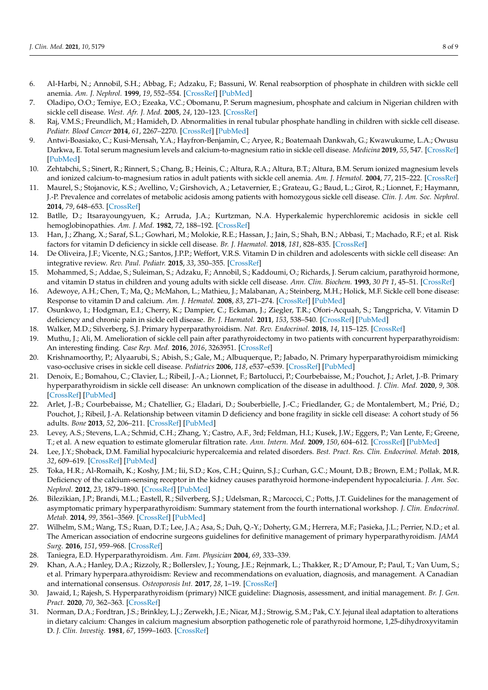- 6. Al-Harbi, N.; Annobil, S.H.; Abbag, F.; Adzaku, F.; Bassuni, W. Renal reabsorption of phosphate in children with sickle cell anemia. *Am. J. Nephrol.* **1999**, *19*, 552–554. [\[CrossRef\]](http://doi.org/10.1159/000013518) [\[PubMed\]](http://www.ncbi.nlm.nih.gov/pubmed/10575182)
- 7. Oladipo, O.O.; Temiye, E.O.; Ezeaka, V.C.; Obomanu, P. Serum magnesium, phosphate and calcium in Nigerian children with sickle cell disease. *West. Afr. J. Med.* **2005**, *24*, 120–123. [\[CrossRef\]](http://doi.org/10.4314/wajm.v24i2.28180)
- 8. Raj, V.M.S.; Freundlich, M.; Hamideh, D. Abnormalities in renal tubular phosphate handling in children with sickle cell disease. *Pediatr. Blood Cancer* **2014**, *61*, 2267–2270. [\[CrossRef\]](http://doi.org/10.1002/pbc.25188) [\[PubMed\]](http://www.ncbi.nlm.nih.gov/pubmed/25132581)
- 9. Antwi-Boasiako, C.; Kusi-Mensah, Y.A.; Hayfron-Benjamin, C.; Aryee, R.; Boatemaah Dankwah, G.; Kwawukume, L.A.; Owusu Darkwa, E. Total serum magnesium levels and calcium-to-magnesium ratio in sickle cell disease. *Medicina* **2019**, *55*, 547. [\[CrossRef\]](http://doi.org/10.3390/medicina55090547) [\[PubMed\]](http://www.ncbi.nlm.nih.gov/pubmed/31470666)
- 10. Zehtabchi, S.; Sinert, R.; Rinnert, S.; Chang, B.; Heinis, C.; Altura, R.A.; Altura, B.T.; Altura, B.M. Serum ionized magnesium levels and ionized calcium-to-magnesium ratios in adult patients with sickle cell anemia. *Am. J. Hematol.* **2004**, *77*, 215–222. [\[CrossRef\]](http://doi.org/10.1002/ajh.20187)
- 11. Maurel, S.; Stojanovic, K.S.; Avellino, V.; Girshovich, A.; Letavernier, E.; Grateau, G.; Baud, L.; Girot, R.; Lionnet, F.; Haymann, J.-P. Prevalence and correlates of metabolic acidosis among patients with homozygous sickle cell disease. *Clin. J. Am. Soc. Nephrol.* **2014**, *79*, 648–653. [\[CrossRef\]](http://doi.org/10.2215/CJN.09790913)
- 12. Batlle, D.; Itsarayoungyuen, K.; Arruda, J.A.; Kurtzman, N.A. Hyperkalemic hyperchloremic acidosis in sickle cell hemoglobinopathies. *Am. J. Med.* **1982**, *72*, 188–192. [\[CrossRef\]](http://doi.org/10.1016/0002-9343(82)90809-9)
- 13. Han, J.; Zhang, X.; Saraf, S.L.; Gowhari, M.; Molokie, R.E.; Hassan, J.; Jain, S.; Shah, B.N.; Abbasi, T.; Machado, R.F.; et al. Risk factors for vitamin D deficiency in sickle cell disease. *Br. J. Haematol.* **2018**, *181*, 828–835. [\[CrossRef\]](http://doi.org/10.1111/bjh.15270)
- 14. De Oliveira, J.F.; Vicente, N.G.; Santos, J.P.P.; Weffort, V.R.S. Vitamin D in children and adolescents with sickle cell disease: An integrative review. *Rev. Paul. Pediatr.* **2015**, *33*, 350–355. [\[CrossRef\]](http://doi.org/10.1016/j.rppede.2015.06.015)
- 15. Mohammed, S.; Addae, S.; Suleiman, S.; Adzaku, F.; Annobil, S.; Kaddoumi, O.; Richards, J. Serum calcium, parathyroid hormone, and vitamin D status in children and young adults with sickle cell disease. *Ann. Clin. Biochem.* **1993**, *30 Pt 1*, 45–51. [\[CrossRef\]](http://doi.org/10.1177/000456329303000108)
- 16. Adewoye, A.H.; Chen, T.; Ma, Q.; McMahon, L.; Mathieu, J.; Malabanan, A.; Steinberg, M.H.; Holick, M.F. Sickle cell bone disease: Response to vitamin D and calcium. *Am. J. Hematol.* **2008**, *83*, 271–274. [\[CrossRef\]](http://doi.org/10.1002/ajh.21085) [\[PubMed\]](http://www.ncbi.nlm.nih.gov/pubmed/17924548)
- 17. Osunkwo, I.; Hodgman, E.I.; Cherry, K.; Dampier, C.; Eckman, J.; Ziegler, T.R.; Ofori-Acquah, S.; Tangpricha, V. Vitamin D deficiency and chronic pain in sickle cell disease. *Br. J. Haematol.* **2011**, *153*, 538–540. [\[CrossRef\]](http://doi.org/10.1111/j.1365-2141.2010.08458.x) [\[PubMed\]](http://www.ncbi.nlm.nih.gov/pubmed/21275953)
- 18. Walker, M.D.; Silverberg, S.J. Primary hyperparathyroidism. *Nat. Rev. Endocrinol.* **2018**, *14*, 115–125. [\[CrossRef\]](http://doi.org/10.1038/nrendo.2017.104)
- 19. Muthu, J.; Ali, M. Amelioration of sickle cell pain after parathyroidectomy in two patients with concurrent hyperparathyroidism: An interesting finding. *Case Rep. Med.* **2016**, *2016*, 3263951. [\[CrossRef\]](http://doi.org/10.1155/2016/3263951)
- 20. Krishnamoorthy, P.; Alyaarubi, S.; Abish, S.; Gale, M.; Albuquerque, P.; Jabado, N. Primary hyperparathyroidism mimicking vaso-occlusive crises in sickle cell disease. *Pediatrics* **2006**, *118*, e537–e539. [\[CrossRef\]](http://doi.org/10.1542/peds.2006-0337) [\[PubMed\]](http://www.ncbi.nlm.nih.gov/pubmed/16882790)
- 21. Denoix, E.; Bomahou, C.; Clavier, L.; Ribeil, J.-A.; Lionnet, F.; Bartolucci, P.; Courbebaisse, M.; Pouchot, J.; Arlet, J.-B. Primary hyperparathyroidism in sickle cell disease: An unknown complication of the disease in adulthood. *J. Clin. Med.* **2020**, *9*, 308. [\[CrossRef\]](http://doi.org/10.3390/jcm9020308) [\[PubMed\]](http://www.ncbi.nlm.nih.gov/pubmed/31979085)
- 22. Arlet, J.-B.; Courbebaisse, M.; Chatellier, G.; Eladari, D.; Souberbielle, J.-C.; Friedlander, G.; de Montalembert, M.; Prié, D.; Pouchot, J.; Ribeil, J.-A. Relationship between vitamin D deficiency and bone fragility in sickle cell disease: A cohort study of 56 adults. *Bone* **2013**, *52*, 206–211. [\[CrossRef\]](http://doi.org/10.1016/j.bone.2012.10.005) [\[PubMed\]](http://www.ncbi.nlm.nih.gov/pubmed/23072921)
- 23. Levey, A.S.; Stevens, L.A.; Schmid, C.H.; Zhang, Y.; Castro, A.F., 3rd; Feldman, H.I.; Kusek, J.W.; Eggers, P.; Van Lente, F.; Greene, T.; et al. A new equation to estimate glomerular filtration rate. *Ann. Intern. Med.* **2009**, *150*, 604–612. [\[CrossRef\]](http://doi.org/10.7326/0003-4819-150-9-200905050-00006) [\[PubMed\]](http://www.ncbi.nlm.nih.gov/pubmed/19414839)
- 24. Lee, J.Y.; Shoback, D.M. Familial hypocalciuric hypercalcemia and related disorders. *Best. Pract. Res. Clin. Endocrinol. Metab.* **2018**, *32*, 609–619. [\[CrossRef\]](http://doi.org/10.1016/j.beem.2018.05.004) [\[PubMed\]](http://www.ncbi.nlm.nih.gov/pubmed/30449544)
- 25. Toka, H.R.; Al-Romaih, K.; Koshy, J.M.; Iii, S.D.; Kos, C.H.; Quinn, S.J.; Curhan, G.C.; Mount, D.B.; Brown, E.M.; Pollak, M.R. Deficiency of the calcium-sensing receptor in the kidney causes parathyroid hormone-independent hypocalciuria. *J. Am. Soc. Nephrol.* **2012**, *23*, 1879–1890. [\[CrossRef\]](http://doi.org/10.1681/ASN.2012030323) [\[PubMed\]](http://www.ncbi.nlm.nih.gov/pubmed/22997254)
- 26. Bilezikian, J.P.; Brandi, M.L.; Eastell, R.; Silverberg, S.J.; Udelsman, R.; Marcocci, C.; Potts, J.T. Guidelines for the management of asymptomatic primary hyperparathyroidism: Summary statement from the fourth international workshop. *J. Clin. Endocrinol. Metab.* **2014**, *99*, 3561–3569. [\[CrossRef\]](http://doi.org/10.1210/jc.2014-1413) [\[PubMed\]](http://www.ncbi.nlm.nih.gov/pubmed/25162665)
- 27. Wilhelm, S.M.; Wang, T.S.; Ruan, D.T.; Lee, J.A.; Asa, S.; Duh, Q.-Y.; Doherty, G.M.; Herrera, M.F.; Pasieka, J.L.; Perrier, N.D.; et al. The American association of endocrine surgeons guidelines for definitive management of primary hyperparathyroidism. *JAMA Surg.* **2016**, *151*, 959–968. [\[CrossRef\]](http://doi.org/10.1001/jamasurg.2016.2310)
- 28. Taniegra, E.D. Hyperparathyroidism. *Am. Fam. Physician* **2004**, *69*, 333–339.
- 29. Khan, A.A.; Hanley, D.A.; Rizzoly, R.; Bollerslev, J.; Young, J.E.; Rejnmark, L.; Thakker, R.; D'Amour, P.; Paul, T.; Van Uum, S.; et al. Primary hyperpara.athyroidism: Review and recommendations on evaluation, diagnosis, and management. A Canadian and international consensus. *Osteoporosis Int.* **2017**, *28*, 1–19. [\[CrossRef\]](http://doi.org/10.1007/s00198-016-3716-2)
- 30. Jawaid, I.; Rajesh, S. Hyperparathyroidism (primary) NICE guideline: Diagnosis, assessment, and initial management. *Br. J. Gen. Pract.* **2020**, *70*, 362–363. [\[CrossRef\]](http://doi.org/10.3399/bjgp20X710717)
- 31. Norman, D.A.; Fordtran, J.S.; Brinkley, L.J.; Zerwekh, J.E.; Nicar, M.J.; Strowig, S.M.; Pak, C.Y. Jejunal ileal adaptation to alterations in dietary calcium: Changes in calcium magnesium absorption pathogenetic role of parathyroid hormone, 1,25-dihydroxyvitamin D. *J. Clin. Investig.* **1981**, *67*, 1599–1603. [\[CrossRef\]](http://doi.org/10.1172/JCI110194)